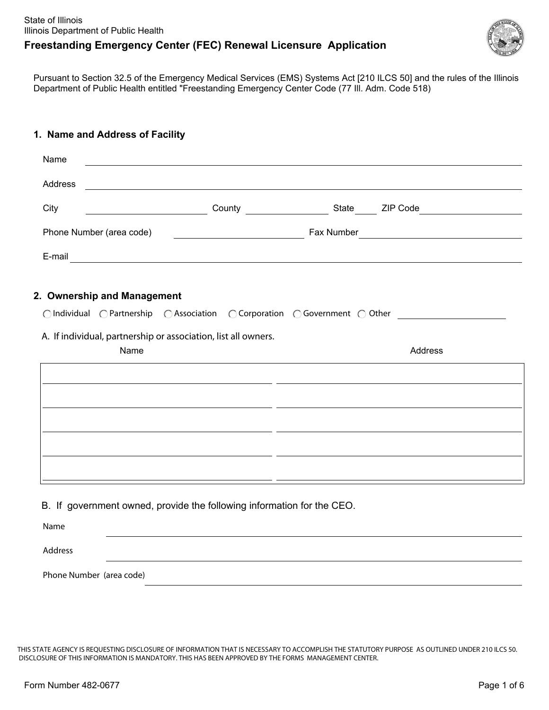

Pursuant to Section 32.5 of the Emergency Medical Services (EMS) Systems Act [210 ILCS 50] and the rules of the Illinois Department of Public Health entitled "Freestanding Emergency Center Code (77 Ill. Adm. Code 518)

#### **1. Name and Address of Facility**

| Name<br>and the control of the control of the control of the control of the control of the control of the control of the |                                                                                                                                                                                                                                |
|--------------------------------------------------------------------------------------------------------------------------|--------------------------------------------------------------------------------------------------------------------------------------------------------------------------------------------------------------------------------|
| Address                                                                                                                  | and the control of the control of the control of the control of the control of the control of the control of the                                                                                                               |
| City                                                                                                                     | County State ZIP Code                                                                                                                                                                                                          |
| Phone Number (area code)                                                                                                 | <u> 1980 - Johann Barn, fransk politik (d. 1980)</u>                                                                                                                                                                           |
|                                                                                                                          | E-mail experience and the contract of the contract of the contract of the contract of the contract of the contract of the contract of the contract of the contract of the contract of the contract of the contract of the cont |
|                                                                                                                          |                                                                                                                                                                                                                                |
| 2. Ownership and Management                                                                                              |                                                                                                                                                                                                                                |
|                                                                                                                          |                                                                                                                                                                                                                                |
| A. If individual, partnership or association, list all owners.                                                           |                                                                                                                                                                                                                                |
| Name                                                                                                                     | Address                                                                                                                                                                                                                        |
|                                                                                                                          |                                                                                                                                                                                                                                |
|                                                                                                                          |                                                                                                                                                                                                                                |
|                                                                                                                          |                                                                                                                                                                                                                                |
|                                                                                                                          | <u> 1990 - Andrea Santana, amerikana politika (h. 1980).</u>                                                                                                                                                                   |
|                                                                                                                          |                                                                                                                                                                                                                                |
|                                                                                                                          |                                                                                                                                                                                                                                |
|                                                                                                                          |                                                                                                                                                                                                                                |
|                                                                                                                          |                                                                                                                                                                                                                                |
| B. If government owned, provide the following information for the CEO.                                                   |                                                                                                                                                                                                                                |

Address Phone Number (area code)

THIS STATE AGENCY IS REQUESTING DISCLOSURE OF INFORMATION THAT IS NECESSARY TO ACCOMPLISH THE STATUTORY PURPOSE AS OUTLINED UNDER 210 ILCS 50. DISCLOSURE OF THIS INFORMATION IS MANDATORY. THIS HAS BEEN APPROVED BY THE FORMS MANAGEMENT CENTER.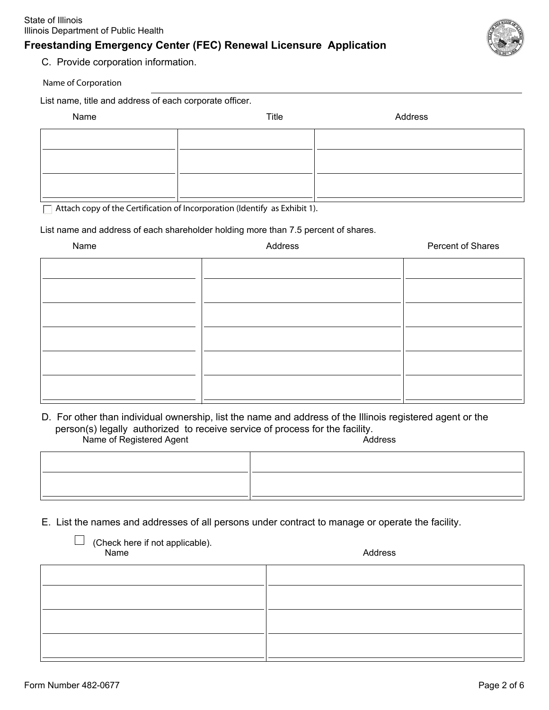

C. Provide corporation information.

Name of Corporation

List name, title and address of each corporate officer.

| Name | Title | Address |
|------|-------|---------|
|      |       |         |
|      |       |         |
|      |       |         |
|      |       |         |

 $\Box$  Attach copy of the Certification of Incorporation (Identify as Exhibit 1).

List name and address of each shareholder holding more than 7.5 percent of shares.

| Name | Address | Percent of Shares |
|------|---------|-------------------|
|      |         |                   |
|      |         |                   |
|      |         |                   |
|      |         |                   |
|      |         |                   |
|      |         |                   |
|      |         |                   |
|      |         |                   |

Name of Registered Agent Address D. For other than individual ownership, list the name and address of the Illinois registered agent or the person(s) legally authorized to receive service of process for the facility.

E. List the names and addresses of all persons under contract to manage or operate the facility.

| $\Box$ (Check here if not applicable).<br>Name |  |
|------------------------------------------------|--|
|                                                |  |

Address

 $\overline{\phantom{0}}$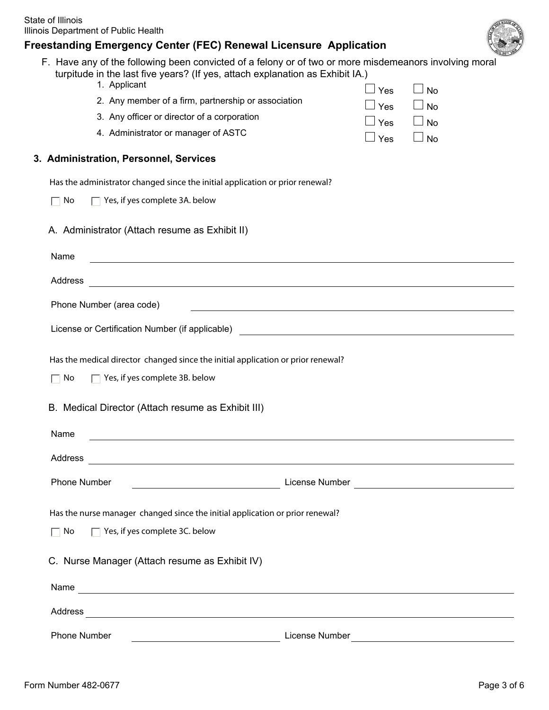|  | s | ., |  |
|--|---|----|--|
|  |   |    |  |
|  |   |    |  |
|  |   |    |  |
|  |   |    |  |

| reestanding Emergency Center (FEC) Renewal Licensure Application                                                                                                                                        |                                    |
|---------------------------------------------------------------------------------------------------------------------------------------------------------------------------------------------------------|------------------------------------|
| F. Have any of the following been convicted of a felony or of two or more misdemeanors involving moral<br>turpitude in the last five years? (If yes, attach explanation as Exhibit IA.)<br>1. Applicant | $\Box$ Yes<br>$\Box$ No            |
| 2. Any member of a firm, partnership or association                                                                                                                                                     | $\Box$ Yes<br>$\Box$ No            |
| 3. Any officer or director of a corporation                                                                                                                                                             | $\blacksquare$<br>$\Box$ No<br>Yes |
| 4. Administrator or manager of ASTC                                                                                                                                                                     | $\Box$ Yes<br>$\Box$ No            |
| 3. Administration, Personnel, Services                                                                                                                                                                  |                                    |
| Has the administrator changed since the initial application or prior renewal?                                                                                                                           |                                    |
| $\Box$ Yes, if yes complete 3A. below<br>No                                                                                                                                                             |                                    |
| A. Administrator (Attach resume as Exhibit II)                                                                                                                                                          |                                    |
| Name                                                                                                                                                                                                    |                                    |
| Address                                                                                                                                                                                                 |                                    |
| Phone Number (area code)                                                                                                                                                                                |                                    |
| License or Certification Number (if applicable)                                                                                                                                                         |                                    |
| Has the medical director changed since the initial application or prior renewal?                                                                                                                        |                                    |
| Yes, if yes complete 3B. below<br>No                                                                                                                                                                    |                                    |
| B. Medical Director (Attach resume as Exhibit III)                                                                                                                                                      |                                    |
| Name                                                                                                                                                                                                    |                                    |
| Address<br><u> 1989 - Johann Stoff, amerikansk politiker (d. 1989)</u>                                                                                                                                  |                                    |
| Phone Number                                                                                                                                                                                            |                                    |
| Has the nurse manager changed since the initial application or prior renewal?                                                                                                                           |                                    |
| $\Box$ Yes, if yes complete 3C. below<br>No                                                                                                                                                             |                                    |
| C. Nurse Manager (Attach resume as Exhibit IV)                                                                                                                                                          |                                    |
| Name<br><u> 1989 - Johann Stoff, amerikansk politiker (d. 1989)</u>                                                                                                                                     |                                    |
| Address                                                                                                                                                                                                 |                                    |
|                                                                                                                                                                                                         |                                    |

Phone Number License Number License Number License Number 2004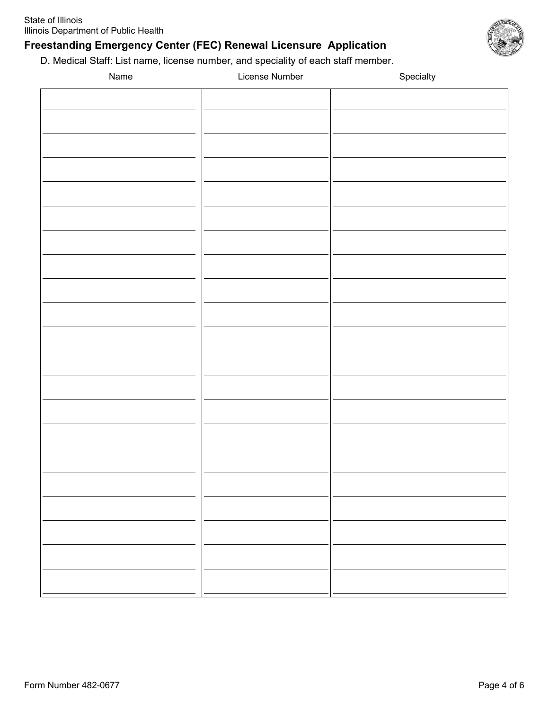D. Medical Staff: List name, license number, and speciality of each staff member.

| Name | License Number | Specialty |
|------|----------------|-----------|
|      |                |           |
|      |                |           |
|      |                |           |
|      |                |           |
|      |                |           |
|      |                |           |
|      |                |           |
|      |                |           |
|      |                |           |
|      |                |           |
|      |                |           |
|      |                |           |
|      |                |           |
|      |                |           |
|      |                |           |
|      |                |           |
|      |                |           |
|      |                |           |
|      |                |           |
|      |                |           |
|      |                |           |
|      |                |           |
|      |                |           |
|      |                |           |
|      |                |           |
|      |                |           |
|      |                |           |
|      |                |           |
|      |                |           |
|      |                |           |
|      |                |           |
|      |                |           |
|      |                |           |
|      |                |           |
|      |                |           |

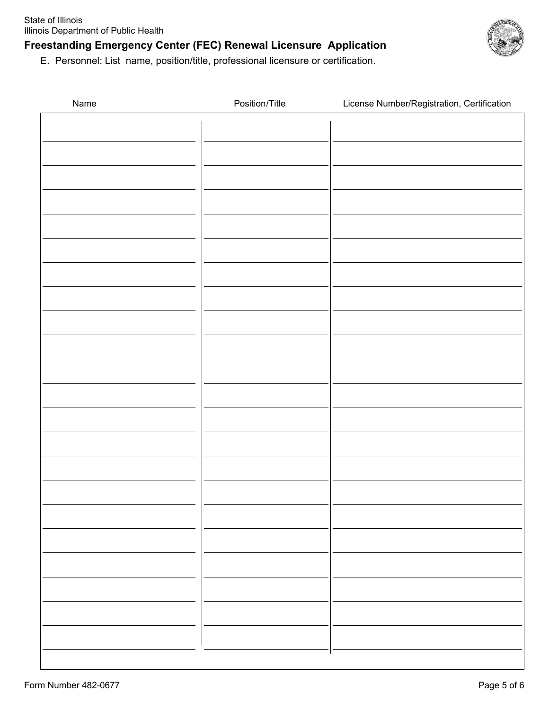

E. Personnel: List name, position/title, professional licensure or certification.

| Name | Position/Title | License Number/Registration, Certification |
|------|----------------|--------------------------------------------|
|      |                |                                            |
|      |                |                                            |
|      |                |                                            |
|      |                |                                            |
|      |                |                                            |
|      |                |                                            |
|      |                |                                            |
|      |                |                                            |
|      |                |                                            |
|      |                |                                            |
|      |                |                                            |
|      |                |                                            |
|      |                |                                            |
|      |                |                                            |
|      |                |                                            |
|      |                |                                            |
|      |                |                                            |
|      |                |                                            |
|      |                |                                            |
|      |                |                                            |
|      |                |                                            |
|      |                |                                            |
|      |                |                                            |
|      |                |                                            |
|      |                |                                            |
|      |                |                                            |
|      |                |                                            |
|      |                |                                            |
|      |                |                                            |
|      |                |                                            |
|      |                |                                            |
|      |                |                                            |
|      |                |                                            |